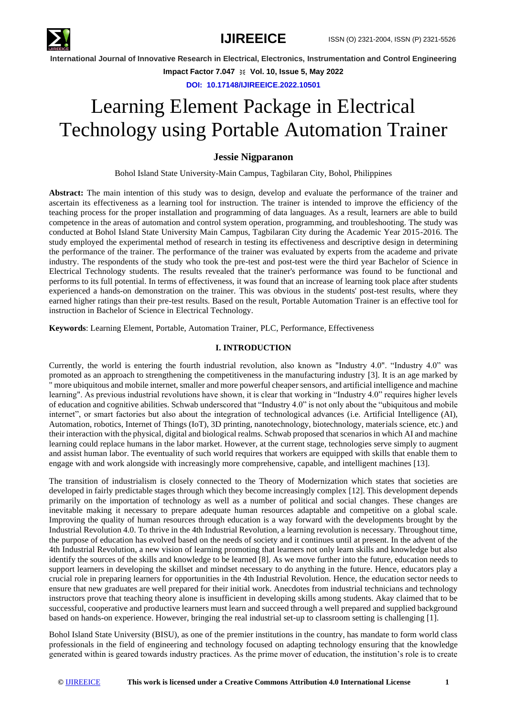

**Impact Factor 7.047**  $\cong$  **Vol. 10, Issue 5, May 2022** 

**DOI: 10.17148/IJIREEICE.2022.10501**

# Learning Element Package in Electrical Technology using Portable Automation Trainer

## **Jessie Nigparanon**

[Bohol](mailto:jessienigparanon@bisu.edu.ph) Island State University-Main Campus, Tagbilaran City, Bohol, Philippines

**Abstract:** The main intention of this study was to design, develop and evaluate the performance of the trainer and ascertain its effectiveness as a learning tool for instruction. The trainer is intended to improve the efficiency of the teaching process for the proper installation and programming of data languages. As a result, learners are able to build competence in the areas of automation and control system operation, programming, and troubleshooting. The study was conducted at Bohol Island State University Main Campus, Tagbilaran City during the Academic Year 2015-2016. The study employed the experimental method of research in testing its effectiveness and descriptive design in determining the performance of the trainer. The performance of the trainer was evaluated by experts from the academe and private industry. The respondents of the study who took the pre-test and post-test were the third year Bachelor of Science in Electrical Technology students. The results revealed that the trainer's performance was found to be functional and performs to its full potential. In terms of effectiveness, it was found that an increase of learning took place after students experienced a hands-on demonstration on the trainer. This was obvious in the students' post-test results, where they earned higher ratings than their pre-test results. Based on the result, Portable Automation Trainer is an effective tool for instruction in Bachelor of Science in Electrical Technology.

**Keywords**: Learning Element, Portable, Automation Trainer, PLC, Performance, Effectiveness

## **I. INTRODUCTION**

Currently, the world is entering the fourth industrial revolution, also known as "Industry 4.0". "Industry 4.0" was promoted as an approach to strengthening the competitiveness in the manufacturing industry [3]. It is an age marked by " more ubiquitous and mobile internet, smaller and more powerful cheaper sensors, and artificial intelligence and machine learning". As previous industrial revolutions have shown, it is clear that working in "Industry 4.0" requires higher levels of education and cognitive abilities. Schwab underscored that "Industry 4.0" is not only about the "ubiquitous and mobile internet", or smart factories but also about the integration of technological advances (i.e. Artificial Intelligence (AI), Automation, robotics, Internet of Things (IoT), 3D printing, nanotechnology, biotechnology, materials science, etc.) and their interaction with the physical, digital and biological realms. Schwab proposed that scenarios in which AI and machine learning could replace humans in the labor market. However, at the current stage, technologies serve simply to augment and assist human labor. The eventuality of such world requires that workers are equipped with skills that enable them to engage with and work alongside with increasingly more comprehensive, capable, and intelligent machines [13].

The transition of industrialism is closely connected to the Theory of Modernization which states that societies are developed in fairly predictable stages through which they become increasingly complex [12]. This development depends primarily on the importation of technology as well as a number of political and social changes. These changes are inevitable making it necessary to prepare adequate human resources adaptable and competitive on a global scale. Improving the quality of human resources through education is a way forward with the developments brought by the Industrial Revolution 4.0. To thrive in the 4th Industrial Revolution, a learning revolution is necessary. Throughout time, the purpose of education has evolved based on the needs of society and it continues until at present. In the advent of the 4th Industrial Revolution, a new vision of learning promoting that learners not only learn skills and knowledge but also identify the sources of the skills and knowledge to be learned [8]. As we move further into the future, education needs to support learners in developing the skillset and mindset necessary to do anything in the future. Hence, educators play a crucial role in preparing learners for opportunities in the 4th Industrial Revolution. Hence, the education sector needs to ensure that new graduates are well prepared for their initial work. Anecdotes from industrial technicians and technology instructors prove that teaching theory alone is insufficient in developing skills among students. Akay claimed that to be successful, cooperative and productive learners must learn and succeed through a well prepared and supplied background based on hands-on experience. However, bringing the real industrial set-up to classroom setting is challenging [1].

Bohol Island State University (BISU), as one of the premier institutions in the country, has mandate to form world class professionals in the field of engineering and technology focused on adapting technology ensuring that the knowledge generated within is geared towards industry practices. As the prime mover of education, the institution's role is to create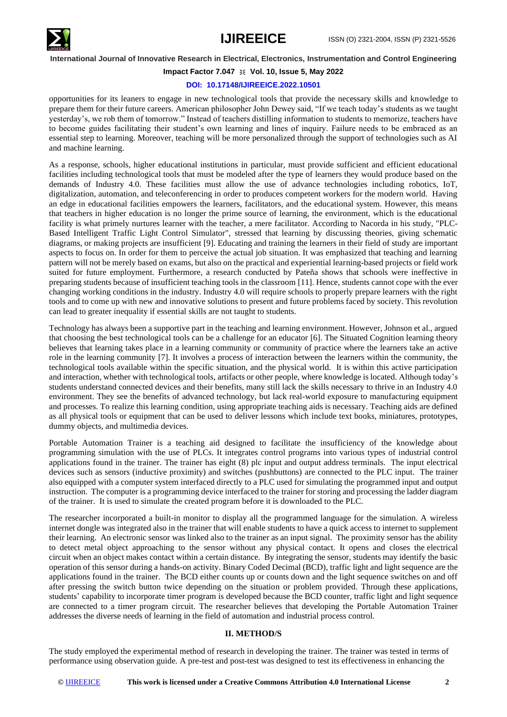

## **Impact Factor 7.047**  $\cong$  **Vol. 10, Issue 5, May 2022**

#### **DOI: 10.17148/IJIREEICE.2022.10501**

opportunities for its leaners to engage in new technological tools that provide the necessary skills and knowledge to prepare them for their future careers. American philosopher John Dewey said, "If we teach today's students as we taught yesterday's, we rob them of tomorrow." Instead of teachers distilling information to students to memorize, teachers have to become guides facilitating their student's own learning and lines of inquiry. Failure needs to be embraced as an essential step to learning. Moreover, teaching will be more personalized through the support of technologies such as AI and machine learning.

As a response, schools, higher educational institutions in particular, must provide sufficient and efficient educational facilities including technological tools that must be modeled after the type of learners they would produce based on the demands of Industry 4.0. These facilities must allow the use of advance technologies including robotics, IoT, digitalization, automation, and teleconferencing in order to produces competent workers for the modern world. Having an edge in educational facilities empowers the learners, facilitators, and the educational system. However, this means that teachers in higher education is no longer the prime source of learning, the environment, which is the educational facility is what primely nurtures learner with the teacher, a mere facilitator. According to Nacorda in his study, "PLC-Based Intelligent Traffic Light Control Simulator", stressed that learning by discussing theories, giving schematic diagrams, or making projects are insufficient [9]. Educating and training the learners in their field of study are important aspects to focus on. In order for them to perceive the actual job situation. It was emphasized that teaching and learning pattern will not be merely based on exams, but also on the practical and experiential learning-based projects or field work suited for future employment. Furthermore, a research conducted by Pateña shows that schools were ineffective in preparing students because of insufficient teaching tools in the classroom [11]. Hence, students cannot cope with the ever changing working conditions in the industry. Industry 4.0 will require schools to properly prepare learners with the right tools and to come up with new and innovative solutions to present and future problems faced by society. This revolution can lead to greater inequality if essential skills are not taught to students.

Technology has always been a supportive part in the teaching and learning environment. However, Johnson et al., argued that choosing the best technological tools can be a challenge for an educator [6]. The Situated Cognition learning theory believes that learning takes place in a learning community or community of practice where the learners take an active role in the learning community [7]. It involves a process of interaction between the learners within the community, the technological tools available within the specific situation, and the physical world. It is within this active participation and interaction, whether with technological tools, artifacts or other people, where knowledge is located. Although today's students understand connected devices and their benefits, many still lack the skills necessary to thrive in an Industry 4.0 environment. They see the benefits of advanced technology, but lack real-world exposure to manufacturing equipment and processes. To realize this learning condition, using appropriate teaching aids is necessary. Teaching aids are defined as all physical tools or equipment that can be used to deliver lessons which include text books, miniatures, prototypes, dummy objects, and multimedia devices.

Portable Automation Trainer is a teaching aid designed to facilitate the insufficiency of the knowledge about programming simulation with the use of PLCs. It integrates control programs into various types of industrial control applications found in the trainer. The trainer has eight (8) plc input and output address terminals. The input electrical devices such as sensors (inductive proximity) and switches (pushbuttons) are connected to the PLC input. The trainer also equipped with a computer system interfaced directly to a PLC used for simulating the programmed input and output instruction. The computer is a programming device interfaced to the trainer for storing and processing the ladder diagram of the trainer. It is used to simulate the created program before it is downloaded to the PLC.

The researcher incorporated a built-in monitor to display all the programmed language for the simulation. A wireless internet dongle was integrated also in the trainer that will enable students to have a quick access to internet to supplement their learning. An electronic sensor was linked also to the trainer as an input signal. The proximity sensor has the ability to detect metal object approaching to the sensor without any physical contact. It opens and closes the [electrical](http://www.wisegeek.org/what-is-an-electrical-circuit.htm)  [circuit](http://www.wisegeek.org/what-is-an-electrical-circuit.htm) when an object makes contact within a certain distance. By integrating the sensor, students may identify the basic operation of this sensor during a hands-on activity. Binary Coded Decimal (BCD), traffic light and light sequence are the applications found in the trainer. The BCD either counts up or counts down and the light sequence switches on and off after pressing the switch button twice depending on the situation or problem provided. Through these applications, students' capability to incorporate timer program is developed because the BCD counter, traffic light and light sequence are connected to a timer program circuit. The researcher believes that developing the Portable Automation Trainer addresses the diverse needs of learning in the field of automation and industrial process control.

#### **II. METHOD/S**

The study employed the experimental method of research in developing the trainer. The trainer was tested in terms of performance using observation guide. A pre-test and post-test was designed to test its effectiveness in enhancing the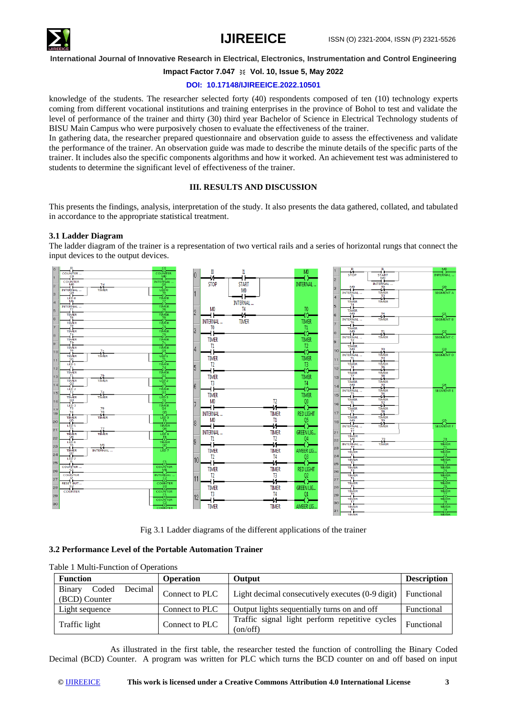

# **Impact Factor 7.047**  $\cong$  **Vol. 10, Issue 5, May 2022**

## **DOI: 10.17148/IJIREEICE.2022.10501**

knowledge of the students. The researcher selected forty (40) respondents composed of ten (10) technology experts coming from different vocational institutions and training enterprises in the province of Bohol to test and validate the level of performance of the trainer and thirty (30) third year Bachelor of Science in Electrical Technology students of BISU Main Campus who were purposively chosen to evaluate the effectiveness of the trainer.

In gathering data, the researcher prepared questionnaire and observation guide to assess the effectiveness and validate the performance of the trainer. An observation guide was made to describe the minute details of the specific parts of the trainer. It includes also the specific components algorithms and how it worked. An achievement test was administered to students to determine the significant level of effectiveness of the trainer.

#### **III. RESULTS AND DISCUSSION**

This presents the findings, analysis, interpretation of the study. It also presents the data gathered, collated, and tabulated in accordance to the appropriate statistical treatment.

## **3.1 Ladder Diagram**

The ladder diagram of the trainer is a representation of two vertical rails and a series of horizontal rungs that connect the input devices to the output devices.



Fig 3.1 Ladder diagrams of the different applications of the trainer

## **3.2 Performance Level of the Portable Automation Trainer**

| <b>Function</b>                             | <b>Operation</b> | Output                                                              | <b>Description</b> |
|---------------------------------------------|------------------|---------------------------------------------------------------------|--------------------|
| Decimal<br>Coded<br>Binary<br>(BCD) Counter | Connect to PLC   | Light decimal consecutively executes (0-9 digit)                    | Functional         |
| Light sequence                              | Connect to PLC   | Output lights sequentially turns on and off                         | Functional         |
| Traffic light                               | Connect to PLC   | Traffic signal light perform repetitive cycles<br>$\text{(on/off)}$ | Functional         |

Table 1 Multi-Function of Operations

As illustrated in the first table, the researcher tested the function of controlling the Binary Coded Decimal (BCD) Counter. A program was written for PLC which turns the BCD counter on and off based on input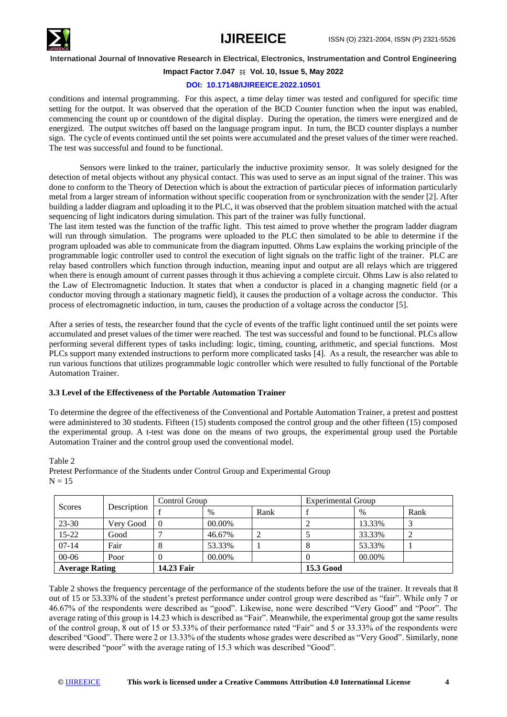

# **Impact Factor 7.047**  $\cong$  **Vol. 10, Issue 5, May 2022**

## **DOI: 10.17148/IJIREEICE.2022.10501**

conditions and internal programming. For this aspect, a time delay timer was tested and configured for specific time setting for the output. It was observed that the operation of the BCD Counter function when the input was enabled, commencing the count up or countdown of the digital display. During the operation, the timers were energized and de energized. The output switches off based on the language program input. In turn, the BCD counter displays a number sign. The cycle of events continued until the set points were accumulated and the preset values of the timer were reached. The test was successful and found to be functional.

Sensors were linked to the trainer, particularly the inductive proximity sensor. It was solely designed for the detection of metal objects without any physical contact. This was used to serve as an input signal of the trainer. This was done to conform to the Theory of Detection which is about the extraction of particular pieces of information particularly metal from a larger stream of information without specific cooperation from or synchronization with the sender [2]. After building a ladder diagram and uploading it to the PLC, it was observed that the problem situation matched with the actual sequencing of light indicators during simulation. This part of the trainer was fully functional.

The last item tested was the function of the traffic light. This test aimed to prove whether the program ladder diagram will run through simulation. The programs were uploaded to the PLC then simulated to be able to determine if the program uploaded was able to communicate from the diagram inputted. Ohms Law explains the working principle of the programmable logic controller used to control the execution of light signals on the traffic light of the trainer. PLC are relay based controllers which function through induction, meaning input and output are all relays which are triggered when there is enough amount of current passes through it thus achieving a complete circuit. Ohms Law is also related to the Law of Electromagnetic Induction. It states that when a conductor is placed in a changing magnetic field (or a conductor moving through a stationary magnetic field), it causes the production of a voltage across the conductor. This process of electromagnetic induction, in turn, causes the production of a voltage across the conductor [5].

After a series of tests, the researcher found that the cycle of events of the traffic light continued until the set points were accumulated and preset values of the timer were reached. The test was successful and found to be functional. PLCs allow performing several different types of tasks including: logic, timing, counting, arithmetic, and special functions. Most PLCs support many extended instructions to perform more complicated tasks [4]. As a result, the researcher was able to run various functions that utilizes programmable logic controller which were resulted to fully functional of the Portable Automation Trainer.

#### **3.3 Level of the Effectiveness of the Portable Automation Trainer**

To determine the degree of the effectiveness of the Conventional and Portable Automation Trainer, a pretest and posttest were administered to 30 students. Fifteen (15) students composed the control group and the other fifteen (15) composed the experimental group. A t-test was done on the means of two groups, the experimental group used the Portable Automation Trainer and the control group used the conventional model.

| Description<br>Scores |           | Control Group |        |                  | <b>Experimental Group</b> |        |      |
|-----------------------|-----------|---------------|--------|------------------|---------------------------|--------|------|
|                       |           |               | $\%$   | Rank             |                           | $\%$   | Rank |
| 23-30                 | Very Good | $\theta$      | 00.00% |                  |                           | 13.33% |      |
| $15 - 22$             | Good      |               | 46.67% | ∠                |                           | 33.33% |      |
| $07-14$               | Fair      | 8             | 53.33% |                  | Ō                         | 53.33% |      |
| $00 - 06$             | Poor      | $\theta$      | 00.00% |                  |                           | 00.00% |      |
| <b>Average Rating</b> |           | 14.23 Fair    |        | <b>15.3 Good</b> |                           |        |      |

Table 2

Pretest Performance of the Students under Control Group and Experimental Group  $N = 15$ 

Table 2 shows the frequency percentage of the performance of the students before the use of the trainer. It reveals that 8 out of 15 or 53.33% of the student's pretest performance under control group were described as "fair". While only 7 or 46.67% of the respondents were described as "good". Likewise, none were described "Very Good" and "Poor". The average rating of this group is 14.23 which is described as "Fair". Meanwhile, the experimental group got the same results of the control group, 8 out of 15 or 53.33% of their performance rated "Fair" and 5 or 33.33% of the respondents were described "Good". There were 2 or 13.33% of the students whose grades were described as "Very Good". Similarly, none were described "poor" with the average rating of 15.3 which was described "Good".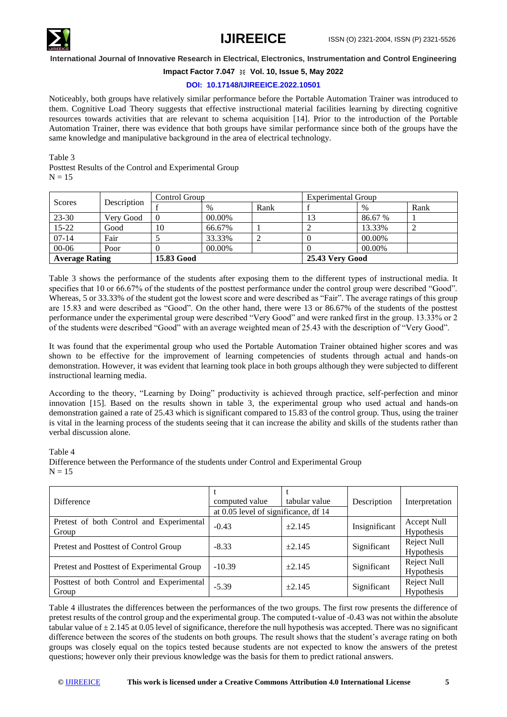

# **Impact Factor 7.047**  $\cong$  **Vol. 10, Issue 5, May 2022**

## **DOI: 10.17148/IJIREEICE.2022.10501**

Noticeably, both groups have relatively similar performance before the Portable Automation Trainer was introduced to them. Cognitive Load Theory suggests that effective instructional material facilities learning by directing cognitive resources towards activities that are relevant to schema acquisition [14]. Prior to the introduction of the Portable Automation Trainer, there was evidence that both groups have similar performance since both of the groups have the same knowledge and manipulative background in the area of electrical technology.

Table 3

Posttest Results of the Control and Experimental Group  $N = 15$ 

| Description<br>Scores | Control Group |            |        |      | <b>Experimental Group</b> |                 |      |  |
|-----------------------|---------------|------------|--------|------|---------------------------|-----------------|------|--|
|                       |               |            | $\%$   | Rank |                           | $\%$            | Rank |  |
| 23-30                 | Very Good     | $\theta$   | 00.00% |      | 13                        | 86.67 %         |      |  |
| $15 - 22$             | Good          | 10         | 66.67% |      |                           | 13.33%          |      |  |
| $07 - 14$             | Fair          |            | 33.33% |      |                           | 00.00%          |      |  |
| $00 - 06$             | Poor          |            | 00.00% |      |                           | 00.00%          |      |  |
| <b>Average Rating</b> |               | 15.83 Good |        |      |                           | 25.43 Very Good |      |  |

Table 3 shows the performance of the students after exposing them to the different types of instructional media. It specifies that 10 or 66.67% of the students of the posttest performance under the control group were described "Good". Whereas, 5 or 33.33% of the student got the lowest score and were described as "Fair". The average ratings of this group are 15.83 and were described as "Good". On the other hand, there were 13 or 86.67% of the students of the posttest performance under the experimental group were described "Very Good" and were ranked first in the group. 13.33% or 2 of the students were described "Good" with an average weighted mean of 25.43 with the description of "Very Good".

It was found that the experimental group who used the Portable Automation Trainer obtained higher scores and was shown to be effective for the improvement of learning competencies of students through actual and hands-on demonstration. However, it was evident that learning took place in both groups although they were subjected to different instructional learning media.

According to the theory, "Learning by Doing" productivity is achieved through practice, self-perfection and minor innovation [15]. Based on the results shown in table 3, the experimental group who used actual and hands-on demonstration gained a rate of 25.43 which is significant compared to 15.83 of the control group. Thus, using the trainer is vital in the learning process of the students seeing that it can increase the ability and skills of the students rather than verbal discussion alone.

Table 4

Difference between the Performance of the students under Control and Experimental Group  $N = 15$ 

| <b>Difference</b>                                  | computed value<br>at 0.05 level of significance, df 14 | tabular value | Description   | Interpretation                   |
|----------------------------------------------------|--------------------------------------------------------|---------------|---------------|----------------------------------|
| Pretest of both Control and Experimental<br>Group  | $-0.43$                                                | $\pm 2.145$   | Insignificant | Accept Null<br>Hypothesis        |
| Pretest and Posttest of Control Group              | $-8.33$                                                | $\pm 2.145$   | Significant   | Reject Null<br>Hypothesis        |
| Pretest and Posttest of Experimental Group         | $-10.39$                                               | $\pm 2.145$   | Significant   | <b>Reject Null</b><br>Hypothesis |
| Posttest of both Control and Experimental<br>Group | $-5.39$                                                | $\pm 2.145$   | Significant   | <b>Reject Null</b><br>Hypothesis |

Table 4 illustrates the differences between the performances of the two groups. The first row presents the difference of pretest results of the control group and the experimental group. The computed t-value of -0.43 was not within the absolute tabular value of  $\pm$  2.145 at 0.05 level of significance, therefore the null hypothesis was accepted. There was no significant difference between the scores of the students on both groups. The result shows that the student's average rating on both groups was closely equal on the topics tested because students are not expected to know the answers of the pretest questions; however only their previous knowledge was the basis for them to predict rational answers.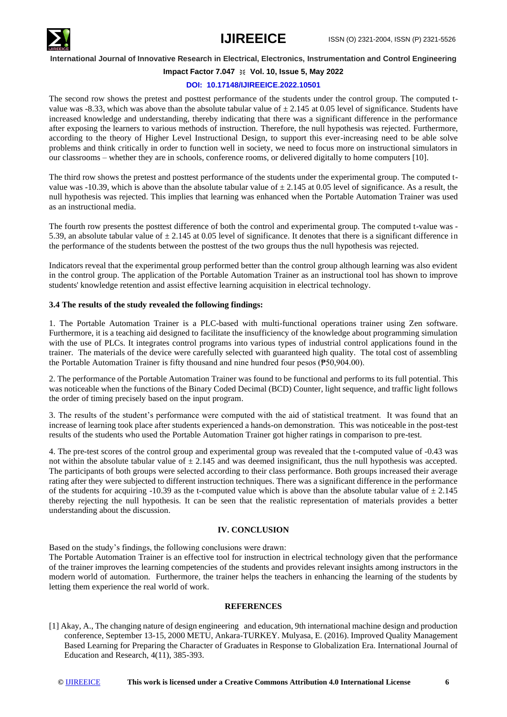

# **Impact Factor 7.047**  $\cong$  **Vol. 10, Issue 5, May 2022**

#### **DOI: 10.17148/IJIREEICE.2022.10501**

The second row shows the pretest and posttest performance of the students under the control group. The computed tvalue was -8.33, which was above than the absolute tabular value of  $\pm$  2.145 at 0.05 level of significance. Students have increased knowledge and understanding, thereby indicating that there was a significant difference in the performance after exposing the learners to various methods of instruction. Therefore, the null hypothesis was rejected. Furthermore, according to the theory of Higher Level Instructional Design, to support this ever-increasing need to be able solve problems and think critically in order to function well in society, we need to focus more on instructional simulators in our classrooms – whether they are in schools, conference rooms, or delivered digitally to home computers [10].

The third row shows the pretest and posttest performance of the students under the experimental group. The computed tvalue was -10.39, which is above than the absolute tabular value of  $\pm 2.145$  at 0.05 level of significance. As a result, the null hypothesis was rejected. This implies that learning was enhanced when the Portable Automation Trainer was used as an instructional media.

The fourth row presents the posttest difference of both the control and experimental group. The computed t-value was - 5.39, an absolute tabular value of  $\pm 2.145$  at 0.05 level of significance. It denotes that there is a significant difference in the performance of the students between the posttest of the two groups thus the null hypothesis was rejected.

Indicators reveal that the experimental group performed better than the control group although learning was also evident in the control group. The application of the Portable Automation Trainer as an instructional tool has shown to improve students' knowledge retention and assist effective learning acquisition in electrical technology.

#### **3.4 The results of the study revealed the following findings:**

1. The Portable Automation Trainer is a PLC-based with multi-functional operations trainer using Zen software. Furthermore, it is a teaching aid designed to facilitate the insufficiency of the knowledge about programming simulation with the use of PLCs. It integrates control programs into various types of industrial control applications found in the trainer. The materials of the device were carefully selected with guaranteed high quality. The total cost of assembling the Portable Automation Trainer is fifty thousand and nine hundred four pesos (₱50,904.00).

2. The performance of the Portable Automation Trainer was found to be functional and performs to its full potential. This was noticeable when the functions of the Binary Coded Decimal (BCD) Counter, light sequence, and traffic light follows the order of timing precisely based on the input program.

3. The results of the student's performance were computed with the aid of statistical treatment. It was found that an increase of learning took place after students experienced a hands-on demonstration. This was noticeable in the post-test results of the students who used the Portable Automation Trainer got higher ratings in comparison to pre-test.

4. The pre-test scores of the control group and experimental group was revealed that the t-computed value of -0.43 was not within the absolute tabular value of  $\pm 2.145$  and was deemed insignificant, thus the null hypothesis was accepted. The participants of both groups were selected according to their class performance. Both groups increased their average rating after they were subjected to different instruction techniques. There was a significant difference in the performance of the students for acquiring -10.39 as the t-computed value which is above than the absolute tabular value of  $\pm 2.145$ thereby rejecting the null hypothesis. It can be seen that the realistic representation of materials provides a better understanding about the discussion.

#### **IV. CONCLUSION**

Based on the study's findings, the following conclusions were drawn:

The Portable Automation Trainer is an effective tool for instruction in electrical technology given that the performance of the trainer improves the learning competencies of the students and provides relevant insights among instructors in the modern world of automation. Furthermore, the trainer helps the teachers in enhancing the learning of the students by letting them experience the real world of work.

#### **REFERENCES**

[1] Akay, A., The changing nature of design engineering and education, 9th international machine design and production conference, September 13-15, 2000 METU, Ankara-TURKEY. Mulyasa, E. (2016). Improved Quality Management Based Learning for Preparing the Character of Graduates in Response to Globalization Era. International Journal of Education and Research, 4(11), 385-393.